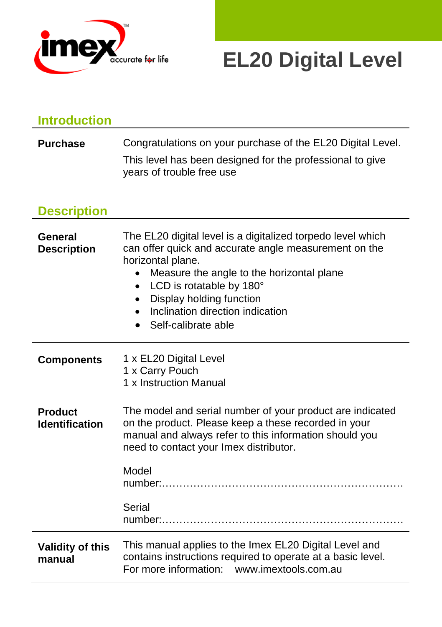

# **EL20 Digital Level**

| <b>Introduction</b>                     |                                                                                                                                                                                                                                                                                                                        |  |
|-----------------------------------------|------------------------------------------------------------------------------------------------------------------------------------------------------------------------------------------------------------------------------------------------------------------------------------------------------------------------|--|
| <b>Purchase</b>                         | Congratulations on your purchase of the EL20 Digital Level.<br>This level has been designed for the professional to give<br>years of trouble free use                                                                                                                                                                  |  |
|                                         |                                                                                                                                                                                                                                                                                                                        |  |
| <b>Description</b>                      |                                                                                                                                                                                                                                                                                                                        |  |
| General<br><b>Description</b>           | The EL20 digital level is a digitalized torpedo level which<br>can offer quick and accurate angle measurement on the<br>horizontal plane.<br>Measure the angle to the horizontal plane<br>$\bullet$<br>LCD is rotatable by 180°<br>Display holding function<br>Inclination direction indication<br>Self-calibrate able |  |
| <b>Components</b>                       | 1 x EL20 Digital Level<br>1 x Carry Pouch<br>1 x Instruction Manual                                                                                                                                                                                                                                                    |  |
| <b>Product</b><br><b>Identification</b> | The model and serial number of your product are indicated<br>on the product. Please keep a these recorded in your<br>manual and always refer to this information should you<br>need to contact your Imex distributor.                                                                                                  |  |
|                                         | Model                                                                                                                                                                                                                                                                                                                  |  |
|                                         | Serial                                                                                                                                                                                                                                                                                                                 |  |
| <b>Validity of this</b><br>manual       | This manual applies to the Imex EL20 Digital Level and<br>contains instructions required to operate at a basic level.<br>For more information: www.imextools.com.au                                                                                                                                                    |  |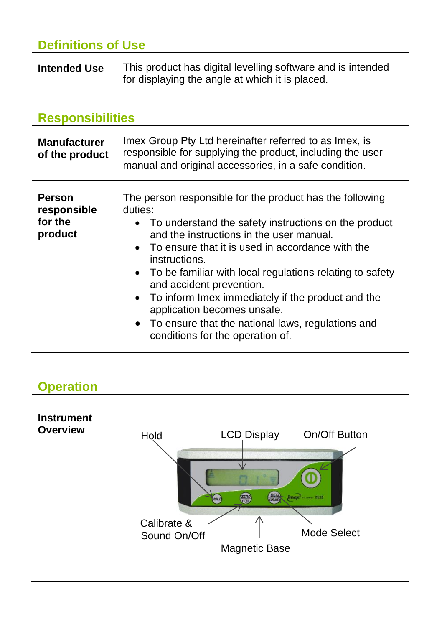# **Definitions of Use**

**Intended Use** This product has digital levelling software and is intended for displaying the angle at which it is placed.

### **Responsibilities**

| <b>Manufacturer</b><br>of the product              | Imex Group Pty Ltd hereinafter referred to as Imex, is<br>responsible for supplying the product, including the user<br>manual and original accessories, in a safe condition.                                                                                                                                                                                                                                                                                                                                                |  |
|----------------------------------------------------|-----------------------------------------------------------------------------------------------------------------------------------------------------------------------------------------------------------------------------------------------------------------------------------------------------------------------------------------------------------------------------------------------------------------------------------------------------------------------------------------------------------------------------|--|
| <b>Person</b><br>responsible<br>for the<br>product | The person responsible for the product has the following<br>duties:<br>• To understand the safety instructions on the product<br>and the instructions in the user manual.<br>• To ensure that it is used in accordance with the<br>instructions.<br>• To be familiar with local regulations relating to safety<br>and accident prevention.<br>• To inform Imex immediately if the product and the<br>application becomes unsafe.<br>• To ensure that the national laws, regulations and<br>conditions for the operation of. |  |

# **Operation**

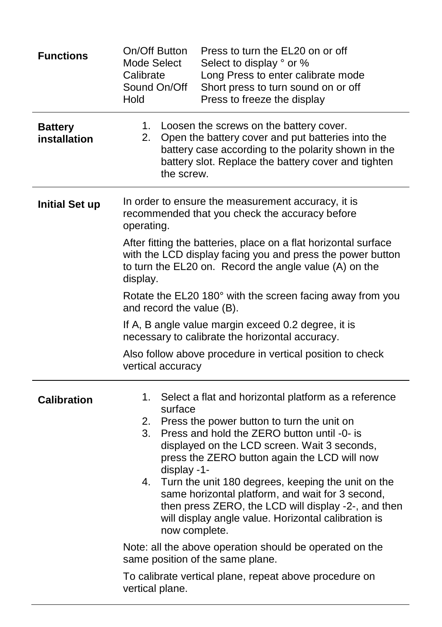| <b>Functions</b>               | On/Off Button<br>Press to turn the EL20 on or off<br>Select to display ° or %<br>Mode Select<br>Long Press to enter calibrate mode<br>Calibrate<br>Sound On/Off<br>Short press to turn sound on or off<br>Hold<br>Press to freeze the display                                                                                                                                                                                                                                                                                                                                                                                                                                                         |  |  |
|--------------------------------|-------------------------------------------------------------------------------------------------------------------------------------------------------------------------------------------------------------------------------------------------------------------------------------------------------------------------------------------------------------------------------------------------------------------------------------------------------------------------------------------------------------------------------------------------------------------------------------------------------------------------------------------------------------------------------------------------------|--|--|
| <b>Battery</b><br>installation | 1. Loosen the screws on the battery cover.<br>2.<br>Open the battery cover and put batteries into the<br>battery case according to the polarity shown in the<br>battery slot. Replace the battery cover and tighten<br>the screw.                                                                                                                                                                                                                                                                                                                                                                                                                                                                     |  |  |
| <b>Initial Set up</b>          | In order to ensure the measurement accuracy, it is<br>recommended that you check the accuracy before<br>operating.                                                                                                                                                                                                                                                                                                                                                                                                                                                                                                                                                                                    |  |  |
|                                | After fitting the batteries, place on a flat horizontal surface<br>with the LCD display facing you and press the power button<br>to turn the EL20 on. Record the angle value (A) on the<br>display.                                                                                                                                                                                                                                                                                                                                                                                                                                                                                                   |  |  |
|                                | Rotate the EL20 180° with the screen facing away from you<br>and record the value (B).                                                                                                                                                                                                                                                                                                                                                                                                                                                                                                                                                                                                                |  |  |
|                                | If A, B angle value margin exceed 0.2 degree, it is<br>necessary to calibrate the horizontal accuracy.<br>Also follow above procedure in vertical position to check<br>vertical accuracy                                                                                                                                                                                                                                                                                                                                                                                                                                                                                                              |  |  |
|                                |                                                                                                                                                                                                                                                                                                                                                                                                                                                                                                                                                                                                                                                                                                       |  |  |
| <b>Calibration</b>             | 1.<br>Select a flat and horizontal platform as a reference<br>surface<br>Press the power button to turn the unit on<br>2.<br>Press and hold the ZERO button until -0- is<br>3.<br>displayed on the LCD screen. Wait 3 seconds,<br>press the ZERO button again the LCD will now<br>display -1-<br>Turn the unit 180 degrees, keeping the unit on the<br>4.<br>same horizontal platform, and wait for 3 second,<br>then press ZERO, the LCD will display -2-, and then<br>will display angle value. Horizontal calibration is<br>now complete.<br>Note: all the above operation should be operated on the<br>same position of the same plane.<br>To calibrate vertical plane, repeat above procedure on |  |  |
|                                | vertical plane.                                                                                                                                                                                                                                                                                                                                                                                                                                                                                                                                                                                                                                                                                       |  |  |